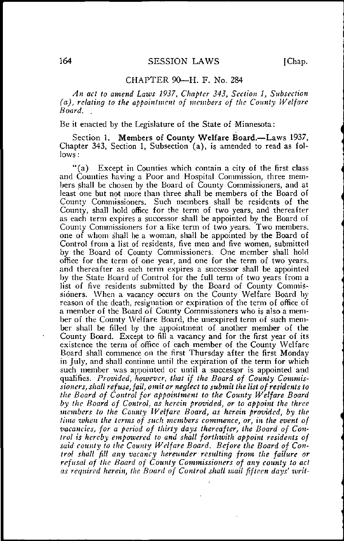## CHAPTER 90—H. F. No. 284

An act to amend Laws 1937, Chapter 343, Section 1, Subsection  $(a)$ , relating to the appointment of members of the County Welfare Board. .

## Be it enacted by the Legislature of the State of Minnesota:

Section 1. Members of County Welfare Board.—Laws 1937, Chapter 343, Section 1, Subsection (a), is amended to read as follows :

"(a) Except in Counties which contain a city of the first class and Counties having a Poor and Hospital Commission, three members shall be chosen by the Board of County Commissioners, and at least one but not more than three shall be members of the Board of County Commissioners. Such members shall be residents of the County, shall hold office for the term of two years, and thereafter as each term expires a successor shall be appointed by the Board of County Commissioners for a like term of two years. Two members, one of whom shall be a woman, shall be appointed by the Board of Control from a list of residents, five men and five women, submitted by the Board of County Commissioners. One member shall hold office for the term of one year, and one for the term of two years, and thereafter as each term expires a successor shall be appointed by the State Board of Control for the full term of two years from a list of five residents submitted by the Board of County Commissioners. When a vacancy occurs on the County Welfare Board by reason of the death, resignation or expiration of the term of office of a member of the Board of County Commissioners who is also a member of the County Welfare Board, the unexpired term of such member shall be filled by the appointment of another member of the County Board. Except to fill a vacancy and for the first year of its existence the term of office of each member of the County Welfare Board shall commence on the first Thursday after the first Monday in July, and shall continue until the expiration of the term for which such member was appointed or until a successor is appointed and qualifies. Provided, however, that if the Board of County Commissioners, shall refuse, fail, omit or neglect to submit the list of residents to the Board of Control for appointment to the County Welfare Board by the Board of Control, as herein provided, or to appoint the three members to the County Welfare Board, as herein provided, by the time when the terms of such members commence, or, in the event of vacancies, for a period of thirty days thereafter, the Board of Control is hereby empowered to and shall forthwith appoint residents of said county to the County Welfare Board. Before the Board of Control shall fill any vacancy hereunder resulting from the failure or refusal of the Board of County Commissioners of any county to act as required herein, the Board of Control shall mail fifteen days' writ-